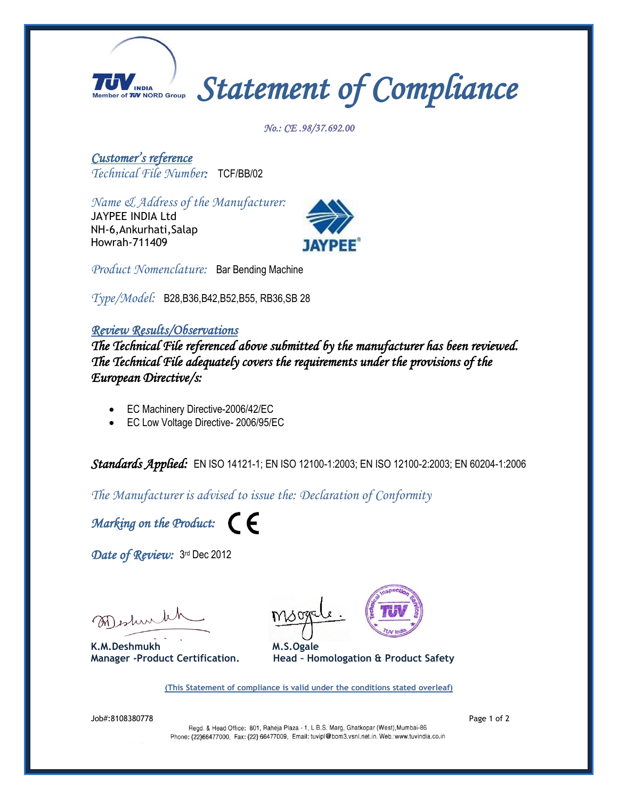

*No.: CE .98/37.692.00*

*Customer's reference Technical File Number:* TCF/BB/02

*Name & Address of the Manufacturer:*

JAYPEE INDIA Ltd NH-6,Ankurhati,Salap Howrah-711409



*Product Nomenclature:* Bar Bending Machine

*Type/Model:*B28,B36,B42,B52,B55, RB36,SB 28

## *Review Results/Observations*

*The Technical File referenced above submitted by the manufacturer has been reviewed. The Technical File adequately covers the requirements under the provisions of the European Directive/s:* 

- EC Machinery Directive-2006/42/EC
- EC Low Voltage Directive- 2006/95/EC

*Standards Applied:* EN ISO 14121-1; EN ISO 12100-1:2003; EN ISO 12100-2:2003; EN 60204-1:2006

*The Manufacturer is advised to issue the: Declaration of Conformity*

*Marking on the Product:* 

Date of Review: 3<sup>rd</sup> Dec 2012

Meshink

K.M.Deshmukh M.S.Ogale





**(This Statement of compliance is valid under the conditions stated overleaf)**

Job#:8108380778 Page 1 of 2

Phone: (22)66477000, Fax: (22) 66477009, Email: tuvipl@bom3.vsnl.net.in. Web.:www.tuvindia.co.in